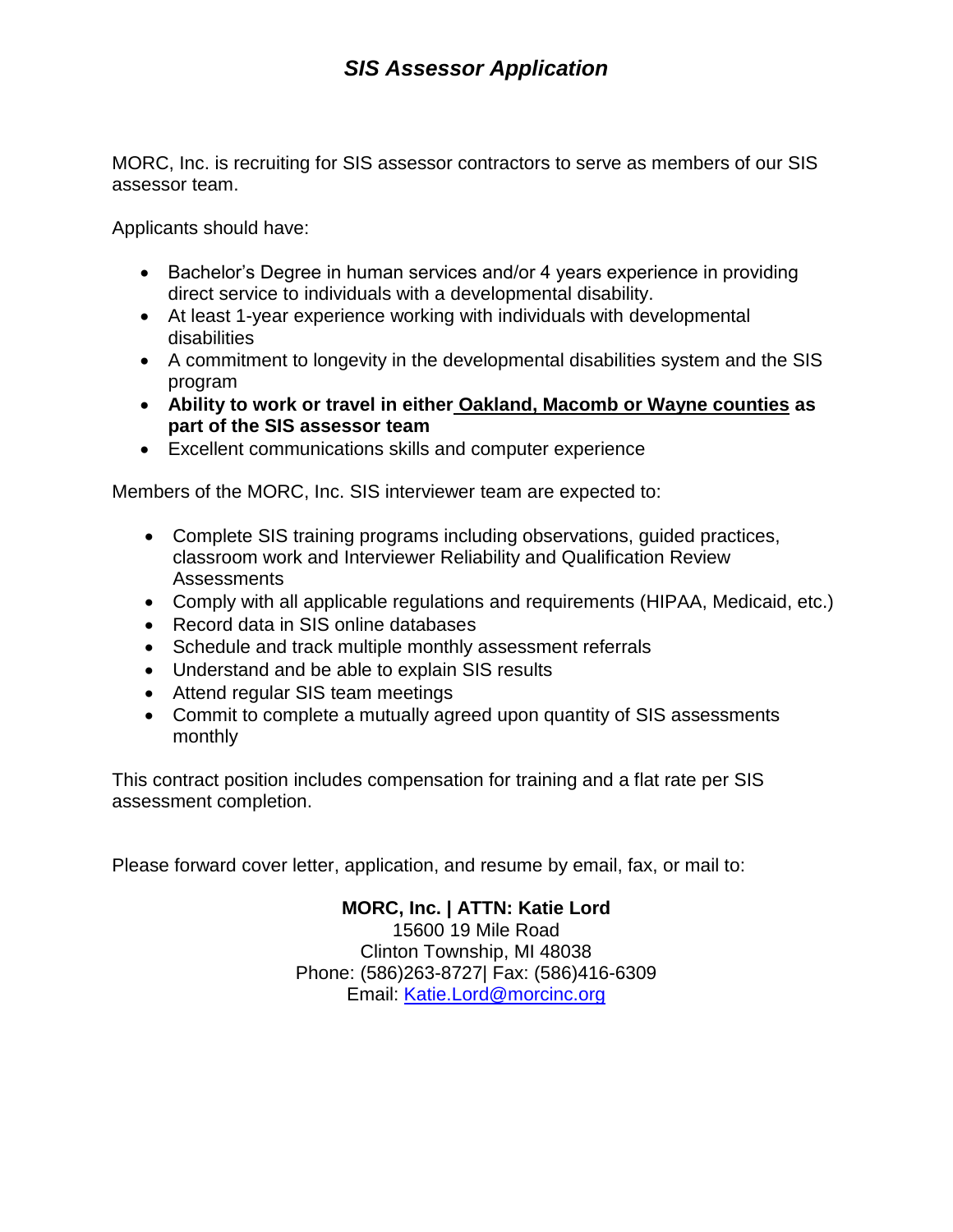MORC, Inc. is recruiting for SIS assessor contractors to serve as members of our SIS assessor team.

Applicants should have:

- Bachelor's Degree in human services and/or 4 years experience in providing direct service to individuals with a developmental disability.
- At least 1-year experience working with individuals with developmental disabilities
- A commitment to longevity in the developmental disabilities system and the SIS program
- **Ability to work or travel in either Oakland, Macomb or Wayne counties as part of the SIS assessor team**
- Excellent communications skills and computer experience

Members of the MORC, Inc. SIS interviewer team are expected to:

- Complete SIS training programs including observations, guided practices, classroom work and Interviewer Reliability and Qualification Review Assessments
- Comply with all applicable regulations and requirements (HIPAA, Medicaid, etc.)
- Record data in SIS online databases
- Schedule and track multiple monthly assessment referrals
- Understand and be able to explain SIS results
- Attend regular SIS team meetings
- Commit to complete a mutually agreed upon quantity of SIS assessments monthly

This contract position includes compensation for training and a flat rate per SIS assessment completion.

Please forward cover letter, application, and resume by email, fax, or mail to:

**MORC, Inc. | ATTN: Katie Lord** 15600 19 Mile Road Clinton Township, MI 48038 Phone: (586)263-8727| Fax: (586)416-6309 Email: [Katie.Lord@morcinc.org](mailto:Katie.Lord@morcinc.org)